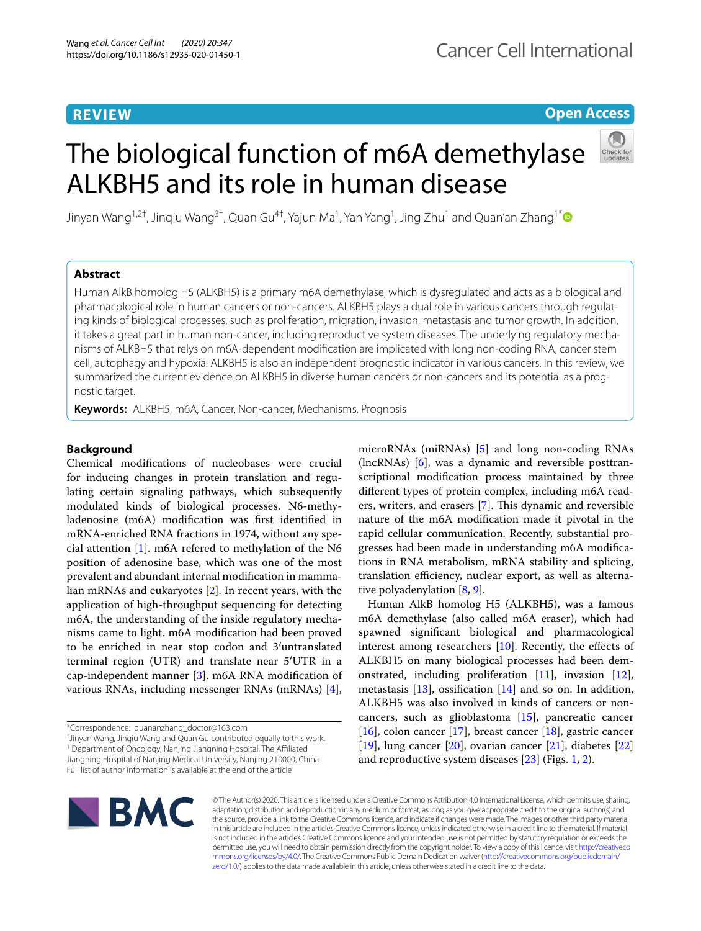# **REVIEW**

# **Open Access**

# The biological function of m6A demethylase ALKBH5 and its role in human disease



Jinyan Wang<sup>1,2†</sup>, Jinqiu Wang<sup>3†</sup>, Quan Gu<sup>4†</sup>, Yajun Ma<sup>1</sup>, Yan Yang<sup>1</sup>, Jing Zhu<sup>1</sup> and Quan'an Zhang<sup>1[\\*](http://orcid.org/0000-0002-6356-7122)</sup>

# **Abstract**

Human AlkB homolog H5 (ALKBH5) is a primary m6A demethylase, which is dysregulated and acts as a biological and pharmacological role in human cancers or non-cancers. ALKBH5 plays a dual role in various cancers through regulating kinds of biological processes, such as proliferation, migration, invasion, metastasis and tumor growth. In addition, it takes a great part in human non-cancer, including reproductive system diseases. The underlying regulatory mechanisms of ALKBH5 that relys on m6A-dependent modifcation are implicated with long non-coding RNA, cancer stem cell, autophagy and hypoxia. ALKBH5 is also an independent prognostic indicator in various cancers. In this review, we summarized the current evidence on ALKBH5 in diverse human cancers or non-cancers and its potential as a prognostic target.

**Keywords:** ALKBH5, m6A, Cancer, Non-cancer, Mechanisms, Prognosis

# **Background**

Chemical modifcations of nucleobases were crucial for inducing changes in protein translation and regulating certain signaling pathways, which subsequently modulated kinds of biological processes. N6-methyladenosine (m6A) modifcation was frst identifed in mRNA-enriched RNA fractions in 1974, without any special attention [\[1](#page-5-0)]. m6A refered to methylation of the N6 position of adenosine base, which was one of the most prevalent and abundant internal modifcation in mammalian mRNAs and eukaryotes [[2\]](#page-5-1). In recent years, with the application of high-throughput sequencing for detecting m6A, the understanding of the inside regulatory mechanisms came to light. m6A modifcation had been proved to be enriched in near stop codon and 3′untranslated terminal region (UTR) and translate near 5′UTR in a cap-independent manner [\[3\]](#page-5-2). m6A RNA modifcation of various RNAs, including messenger RNAs (mRNAs) [\[4](#page-5-3)],

<sup>1</sup> Department of Oncology, Nanjing Jiangning Hospital, The Affiliated Jiangning Hospital of Nanjing Medical University, Nanjing 210000, China Full list of author information is available at the end of the article

microRNAs (miRNAs) [\[5](#page-5-4)] and long non-coding RNAs (lncRNAs) [\[6](#page-5-5)], was a dynamic and reversible posttranscriptional modifcation process maintained by three diferent types of protein complex, including m6A read-ers, writers, and erasers [\[7](#page-6-0)]. This dynamic and reversible nature of the m6A modifcation made it pivotal in the rapid cellular communication. Recently, substantial progresses had been made in understanding m6A modifcations in RNA metabolism, mRNA stability and splicing, translation efficiency, nuclear export, as well as alternative polyadenylation [[8](#page-6-1), [9\]](#page-6-2).

Human AlkB homolog H5 (ALKBH5), was a famous m6A demethylase (also called m6A eraser), which had spawned signifcant biological and pharmacological interest among researchers [\[10](#page-6-3)]. Recently, the efects of ALKBH5 on many biological processes had been demonstrated, including proliferation [[11\]](#page-6-4), invasion [\[12](#page-6-5)], metastasis [\[13\]](#page-6-6), ossifcation [[14\]](#page-6-7) and so on. In addition, ALKBH5 was also involved in kinds of cancers or noncancers, such as glioblastoma [[15\]](#page-6-8), pancreatic cancer [[16\]](#page-6-9), colon cancer [\[17](#page-6-10)], breast cancer [\[18](#page-6-11)], gastric cancer [[19\]](#page-6-12), lung cancer [\[20\]](#page-6-13), ovarian cancer [[21\]](#page-6-14), diabetes [[22](#page-6-15)] and reproductive system diseases [[23\]](#page-6-16) (Figs. [1](#page-1-0), [2\)](#page-2-0).



© The Author(s) 2020. This article is licensed under a Creative Commons Attribution 4.0 International License, which permits use, sharing, adaptation, distribution and reproduction in any medium or format, as long as you give appropriate credit to the original author(s) and the source, provide a link to the Creative Commons licence, and indicate if changes were made. The images or other third party material in this article are included in the article's Creative Commons licence, unless indicated otherwise in a credit line to the material. If material is not included in the article's Creative Commons licence and your intended use is not permitted by statutory regulation or exceeds the permitted use, you will need to obtain permission directly from the copyright holder. To view a copy of this licence, visit [http://creativeco](http://creativecommons.org/licenses/by/4.0/) [mmons.org/licenses/by/4.0/.](http://creativecommons.org/licenses/by/4.0/) The Creative Commons Public Domain Dedication waiver ([http://creativecommons.org/publicdomain/](http://creativecommons.org/publicdomain/zero/1.0/) [zero/1.0/\)](http://creativecommons.org/publicdomain/zero/1.0/) applies to the data made available in this article, unless otherwise stated in a credit line to the data.

<sup>\*</sup>Correspondence: quananzhang\_doctor@163.com

<sup>†</sup> Jinyan Wang, Jinqiu Wang and Quan Gu contributed equally to this work.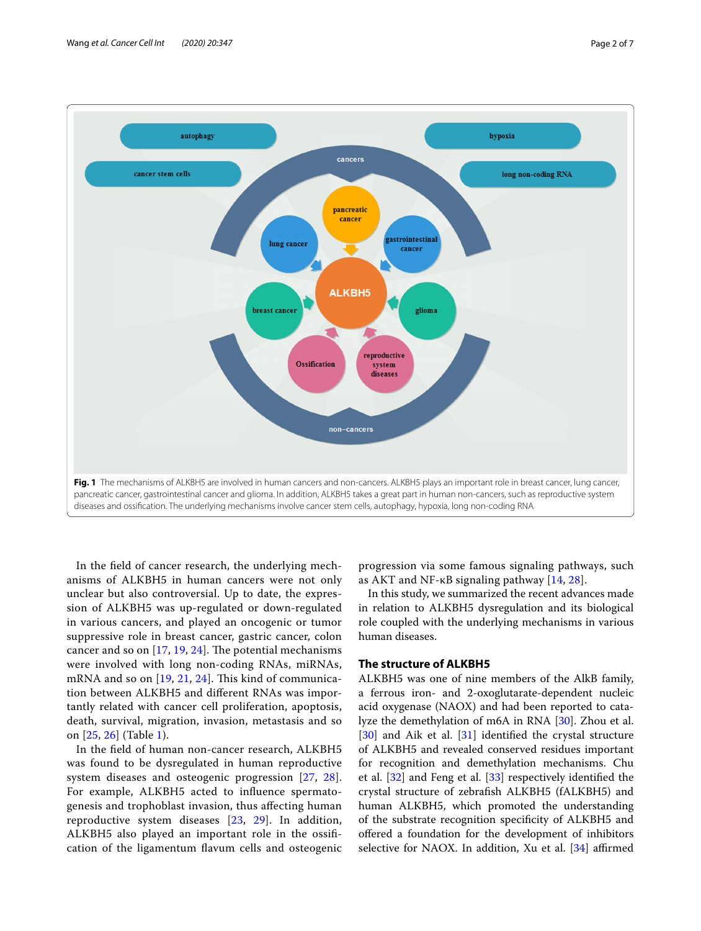

<span id="page-1-0"></span>In the feld of cancer research, the underlying mechanisms of ALKBH5 in human cancers were not only unclear but also controversial. Up to date, the expression of ALKBH5 was up-regulated or down-regulated in various cancers, and played an oncogenic or tumor suppressive role in breast cancer, gastric cancer, colon cancer and so on  $[17, 19, 24]$  $[17, 19, 24]$  $[17, 19, 24]$  $[17, 19, 24]$  $[17, 19, 24]$ . The potential mechanisms were involved with long non-coding RNAs, miRNAs, mRNA and so on  $[19, 21, 24]$  $[19, 21, 24]$  $[19, 21, 24]$  $[19, 21, 24]$  $[19, 21, 24]$  $[19, 21, 24]$  $[19, 21, 24]$ . This kind of communication between ALKBH5 and diferent RNAs was importantly related with cancer cell proliferation, apoptosis, death, survival, migration, invasion, metastasis and so on [\[25](#page-6-18), [26](#page-6-19)] (Table [1](#page-2-1)).

In the feld of human non-cancer research, ALKBH5 was found to be dysregulated in human reproductive system diseases and osteogenic progression [[27,](#page-6-20) [28\]](#page-6-21). For example, ALKBH5 acted to infuence spermatogenesis and trophoblast invasion, thus afecting human reproductive system diseases [\[23,](#page-6-16) [29\]](#page-6-22). In addition, ALKBH5 also played an important role in the ossifcation of the ligamentum favum cells and osteogenic progression via some famous signaling pathways, such as AKT and NF- $\kappa$ B signaling pathway [\[14](#page-6-7), [28](#page-6-21)].

In this study, we summarized the recent advances made in relation to ALKBH5 dysregulation and its biological role coupled with the underlying mechanisms in various human diseases.

# **The structure of ALKBH5**

ALKBH5 was one of nine members of the AlkB family, a ferrous iron- and 2-oxoglutarate-dependent nucleic acid oxygenase (NAOX) and had been reported to catalyze the demethylation of m6A in RNA [[30\]](#page-6-23). Zhou et al. [[30\]](#page-6-23) and Aik et al. [\[31\]](#page-6-24) identified the crystal structure of ALKBH5 and revealed conserved residues important for recognition and demethylation mechanisms. Chu et al. [\[32](#page-6-25)] and Feng et al. [[33](#page-6-26)] respectively identifed the crystal structure of zebrafsh ALKBH5 (fALKBH5) and human ALKBH5, which promoted the understanding of the substrate recognition specifcity of ALKBH5 and ofered a foundation for the development of inhibitors selective for NAOX. In addition, Xu et al. [[34](#page-6-27)] affirmed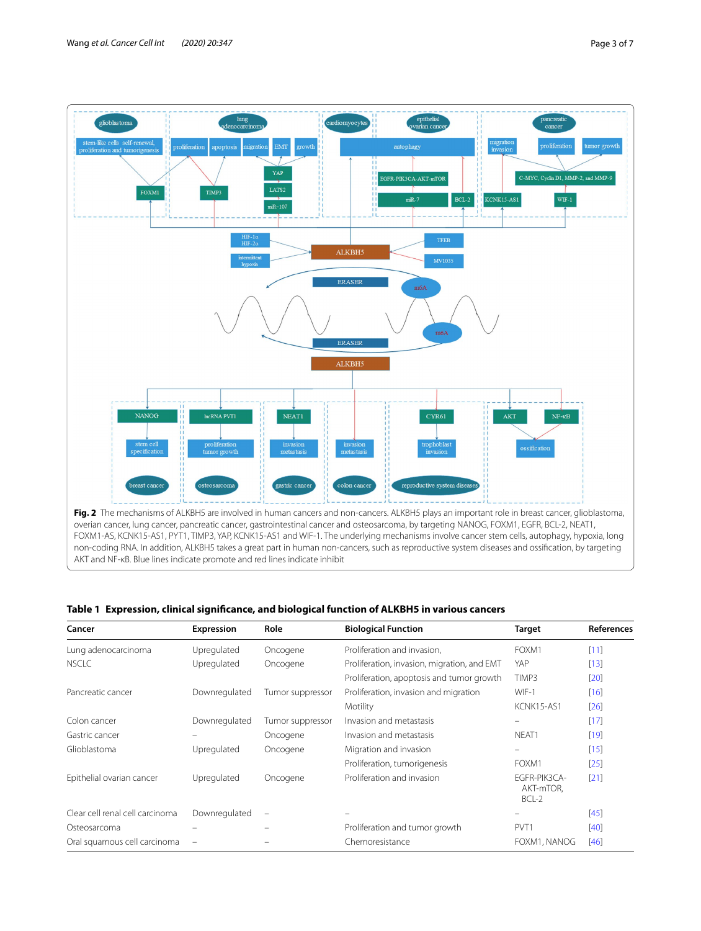

# <span id="page-2-1"></span><span id="page-2-0"></span>**Table 1 Expression, clinical signifcance, and biological function of ALKBH5 in various cancers**

| Cancer                          | Expression    | Role                     | <b>Biological Function</b>                  | Target                               | <b>References</b> |
|---------------------------------|---------------|--------------------------|---------------------------------------------|--------------------------------------|-------------------|
| Lung adenocarcinoma             | Upregulated   | Oncogene                 | Proliferation and invasion,                 | FOXM1                                | [11]              |
| <b>NSCLC</b>                    | Upregulated   | Oncogene                 | Proliferation, invasion, migration, and EMT | YAP                                  | $[13]$            |
|                                 |               |                          | Proliferation, apoptosis and tumor growth   | TIMP3                                | [20]              |
| Pancreatic cancer               | Downregulated | Tumor suppressor         | Proliferation, invasion and migration       | WIF-1                                | $[16]$            |
|                                 |               |                          | Motility                                    | KCNK15-AS1                           | [26]              |
| Colon cancer                    | Downregulated | Tumor suppressor         | Invasion and metastasis                     | $\equiv$                             | $[17]$            |
| Gastric cancer                  |               | Oncogene                 | Invasion and metastasis                     | NEAT1                                | $[19]$            |
| Glioblastoma                    | Upregulated   | Oncogene                 | Migration and invasion                      | -                                    | $[15]$            |
|                                 |               |                          | Proliferation, tumorigenesis                | FOXM1                                | [25]              |
| Epithelial ovarian cancer       | Upregulated   | Oncogene                 | Proliferation and invasion                  | EGFR-PIK3CA-<br>AKT-mTOR.<br>$BCL-2$ | $[21]$            |
| Clear cell renal cell carcinoma | Downregulated | $\overline{\phantom{m}}$ |                                             | -                                    | [45]              |
| Osteosarcoma                    |               | -                        | Proliferation and tumor growth              | PVT <sub>1</sub>                     | $[40]$            |
| Oral squamous cell carcinoma    |               |                          | Chemoresistance                             | FOXM1, NANOG                         | [46]              |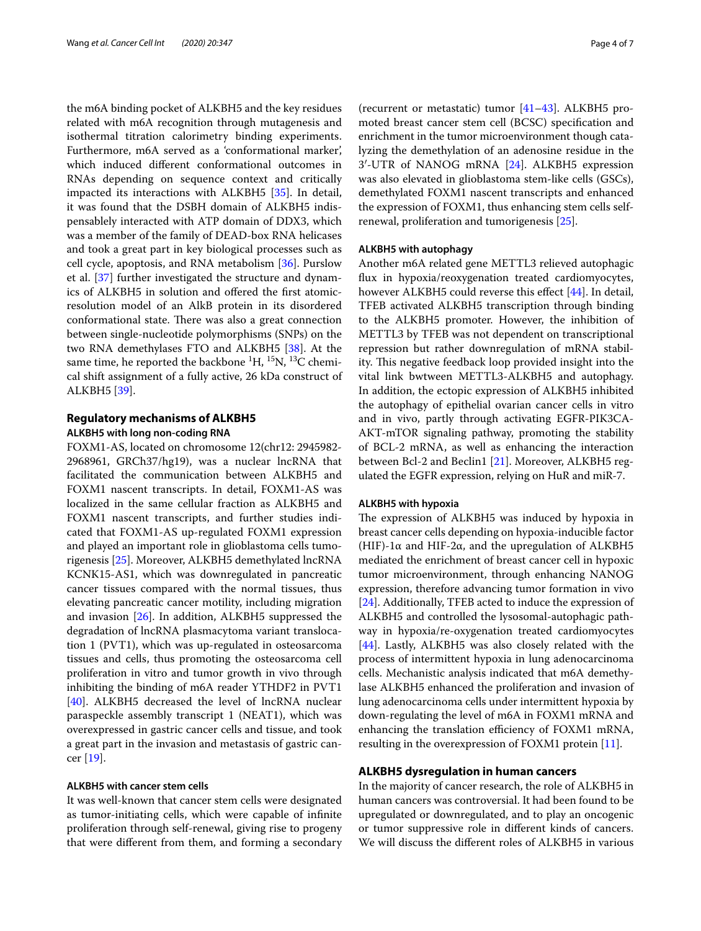the m6A binding pocket of ALKBH5 and the key residues related with m6A recognition through mutagenesis and isothermal titration calorimetry binding experiments. Furthermore, m6A served as a 'conformational marker', which induced diferent conformational outcomes in RNAs depending on sequence context and critically impacted its interactions with ALKBH5 [\[35](#page-6-31)]. In detail, it was found that the DSBH domain of ALKBH5 indispensablely interacted with ATP domain of DDX3, which was a member of the family of DEAD-box RNA helicases and took a great part in key biological processes such as cell cycle, apoptosis, and RNA metabolism [\[36](#page-6-32)]. Purslow et al. [\[37](#page-6-33)] further investigated the structure and dynamics of ALKBH5 in solution and ofered the frst atomicresolution model of an AlkB protein in its disordered conformational state. There was also a great connection between single-nucleotide polymorphisms (SNPs) on the two RNA demethylases FTO and ALKBH5 [[38\]](#page-6-34). At the same time, he reported the backbone  ${}^{1}H, {}^{15}N, {}^{13}C$  chemical shift assignment of a fully active, 26 kDa construct of ALKBH5 [[39\]](#page-6-35).

# **Regulatory mechanisms of ALKBH5 ALKBH5 with long non‑coding RNA**

FOXM1-AS, located on chromosome 12(chr12: 2945982- 2968961, GRCh37/hg19), was a nuclear lncRNA that facilitated the communication between ALKBH5 and FOXM1 nascent transcripts. In detail, FOXM1-AS was localized in the same cellular fraction as ALKBH5 and FOXM1 nascent transcripts, and further studies indicated that FOXM1-AS up-regulated FOXM1 expression and played an important role in glioblastoma cells tumorigenesis [\[25\]](#page-6-18). Moreover, ALKBH5 demethylated lncRNA KCNK15-AS1, which was downregulated in pancreatic cancer tissues compared with the normal tissues, thus elevating pancreatic cancer motility, including migration and invasion [\[26](#page-6-19)]. In addition, ALKBH5 suppressed the degradation of lncRNA plasmacytoma variant translocation 1 (PVT1), which was up-regulated in osteosarcoma tissues and cells, thus promoting the osteosarcoma cell proliferation in vitro and tumor growth in vivo through inhibiting the binding of m6A reader YTHDF2 in PVT1 [[40\]](#page-6-29). ALKBH5 decreased the level of lncRNA nuclear paraspeckle assembly transcript 1 (NEAT1), which was overexpressed in gastric cancer cells and tissue, and took a great part in the invasion and metastasis of gastric cancer [[19\]](#page-6-12).

# **ALKBH5 with cancer stem cells**

It was well-known that cancer stem cells were designated as tumor-initiating cells, which were capable of infnite proliferation through self-renewal, giving rise to progeny that were diferent from them, and forming a secondary (recurrent or metastatic) tumor [[41](#page-6-36)[–43](#page-6-37)]. ALKBH5 promoted breast cancer stem cell (BCSC) specifcation and enrichment in the tumor microenvironment though catalyzing the demethylation of an adenosine residue in the 3′-UTR of NANOG mRNA [[24](#page-6-17)]. ALKBH5 expression was also elevated in glioblastoma stem-like cells (GSCs), demethylated FOXM1 nascent transcripts and enhanced the expression of FOXM1, thus enhancing stem cells selfrenewal, proliferation and tumorigenesis [[25\]](#page-6-18).

## **ALKBH5 with autophagy**

Another m6A related gene METTL3 relieved autophagic fux in hypoxia/reoxygenation treated cardiomyocytes, however ALKBH5 could reverse this effect [[44\]](#page-6-38). In detail, TFEB activated ALKBH5 transcription through binding to the ALKBH5 promoter. However, the inhibition of METTL3 by TFEB was not dependent on transcriptional repression but rather downregulation of mRNA stability. This negative feedback loop provided insight into the vital link bwtween METTL3-ALKBH5 and autophagy. In addition, the ectopic expression of ALKBH5 inhibited the autophagy of epithelial ovarian cancer cells in vitro and in vivo, partly through activating EGFR-PIK3CA-AKT-mTOR signaling pathway, promoting the stability of BCL-2 mRNA, as well as enhancing the interaction between Bcl-2 and Beclin1 [[21\]](#page-6-14). Moreover, ALKBH5 regulated the EGFR expression, relying on HuR and miR-7.

#### **ALKBH5 with hypoxia**

The expression of ALKBH5 was induced by hypoxia in breast cancer cells depending on hypoxia-inducible factor (HIF)-1 $\alpha$  and HIF-2 $\alpha$ , and the upregulation of ALKBH5 mediated the enrichment of breast cancer cell in hypoxic tumor microenvironment, through enhancing NANOG expression, therefore advancing tumor formation in vivo [[24\]](#page-6-17). Additionally, TFEB acted to induce the expression of ALKBH5 and controlled the lysosomal-autophagic pathway in hypoxia/re-oxygenation treated cardiomyocytes [[44\]](#page-6-38). Lastly, ALKBH5 was also closely related with the process of intermittent hypoxia in lung adenocarcinoma cells. Mechanistic analysis indicated that m6A demethylase ALKBH5 enhanced the proliferation and invasion of lung adenocarcinoma cells under intermittent hypoxia by down-regulating the level of m6A in FOXM1 mRNA and enhancing the translation efficiency of FOXM1 mRNA, resulting in the overexpression of FOXM1 protein [[11\]](#page-6-4).

## **ALKBH5 dysregulation in human cancers**

In the majority of cancer research, the role of ALKBH5 in human cancers was controversial. It had been found to be upregulated or downregulated, and to play an oncogenic or tumor suppressive role in diferent kinds of cancers. We will discuss the diferent roles of ALKBH5 in various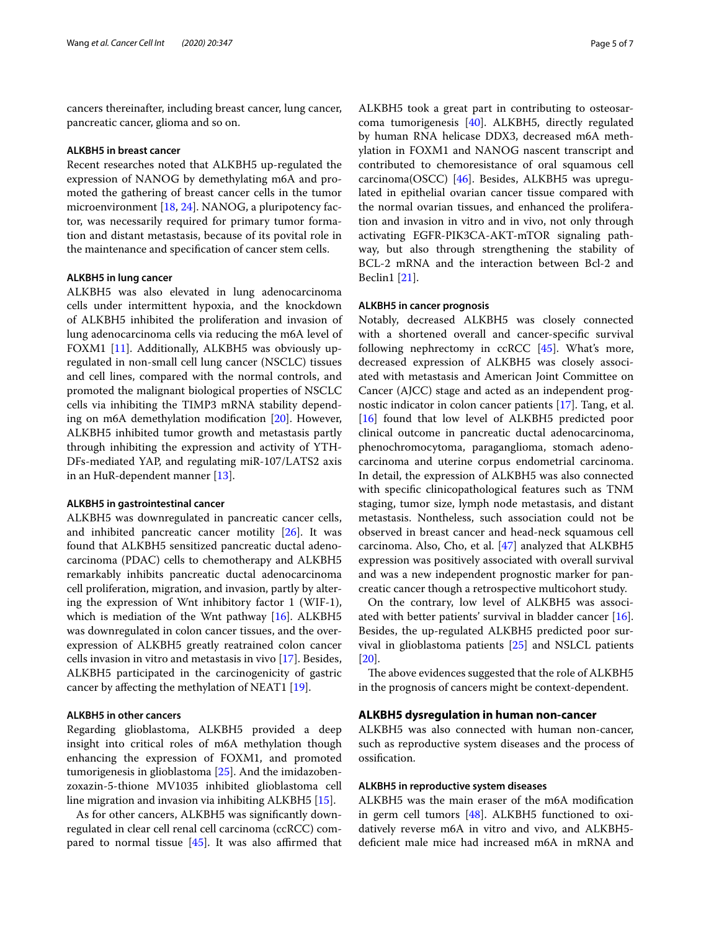cancers thereinafter, including breast cancer, lung cancer, pancreatic cancer, glioma and so on.

#### **ALKBH5 in breast cancer**

Recent researches noted that ALKBH5 up-regulated the expression of NANOG by demethylating m6A and promoted the gathering of breast cancer cells in the tumor microenvironment [\[18](#page-6-11), [24\]](#page-6-17). NANOG, a pluripotency factor, was necessarily required for primary tumor formation and distant metastasis, because of its povital role in the maintenance and specifcation of cancer stem cells.

#### **ALKBH5 in lung cancer**

ALKBH5 was also elevated in lung adenocarcinoma cells under intermittent hypoxia, and the knockdown of ALKBH5 inhibited the proliferation and invasion of lung adenocarcinoma cells via reducing the m6A level of FOXM1 [\[11](#page-6-4)]. Additionally, ALKBH5 was obviously upregulated in non-small cell lung cancer (NSCLC) tissues and cell lines, compared with the normal controls, and promoted the malignant biological properties of NSCLC cells via inhibiting the TIMP3 mRNA stability depending on m6A demethylation modifcation [\[20\]](#page-6-13). However, ALKBH5 inhibited tumor growth and metastasis partly through inhibiting the expression and activity of YTH-DFs-mediated YAP, and regulating miR-107/LATS2 axis in an HuR-dependent manner [\[13](#page-6-6)].

### **ALKBH5 in gastrointestinal cancer**

ALKBH5 was downregulated in pancreatic cancer cells, and inhibited pancreatic cancer motility [\[26](#page-6-19)]. It was found that ALKBH5 sensitized pancreatic ductal adenocarcinoma (PDAC) cells to chemotherapy and ALKBH5 remarkably inhibits pancreatic ductal adenocarcinoma cell proliferation, migration, and invasion, partly by altering the expression of Wnt inhibitory factor 1 (WIF-1), which is mediation of the Wnt pathway  $[16]$  $[16]$  $[16]$ . ALKBH5 was downregulated in colon cancer tissues, and the overexpression of ALKBH5 greatly reatrained colon cancer cells invasion in vitro and metastasis in vivo [[17\]](#page-6-10). Besides, ALKBH5 participated in the carcinogenicity of gastric cancer by afecting the methylation of NEAT1 [\[19](#page-6-12)].

## **ALKBH5 in other cancers**

Regarding glioblastoma, ALKBH5 provided a deep insight into critical roles of m6A methylation though enhancing the expression of FOXM1, and promoted tumorigenesis in glioblastoma [\[25](#page-6-18)]. And the imidazobenzoxazin-5-thione MV1035 inhibited glioblastoma cell line migration and invasion via inhibiting ALKBH5 [\[15](#page-6-8)].

As for other cancers, ALKBH5 was signifcantly downregulated in clear cell renal cell carcinoma (ccRCC) compared to normal tissue  $[45]$  $[45]$ . It was also affirmed that ALKBH5 took a great part in contributing to osteosarcoma tumorigenesis [\[40](#page-6-29)]. ALKBH5, directly regulated by human RNA helicase DDX3, decreased m6A methylation in FOXM1 and NANOG nascent transcript and contributed to chemoresistance of oral squamous cell carcinoma(OSCC) [\[46\]](#page-6-30). Besides, ALKBH5 was upregulated in epithelial ovarian cancer tissue compared with the normal ovarian tissues, and enhanced the proliferation and invasion in vitro and in vivo, not only through activating EGFR-PIK3CA-AKT-mTOR signaling pathway, but also through strengthening the stability of BCL-2 mRNA and the interaction between Bcl-2 and Beclin1 [[21\]](#page-6-14).

## **ALKBH5 in cancer prognosis**

Notably, decreased ALKBH5 was closely connected with a shortened overall and cancer-specifc survival following nephrectomy in ccRCC [[45\]](#page-6-28). What's more, decreased expression of ALKBH5 was closely associated with metastasis and American Joint Committee on Cancer (AJCC) stage and acted as an independent prognostic indicator in colon cancer patients [[17\]](#page-6-10). Tang, et al. [[16\]](#page-6-9) found that low level of ALKBH5 predicted poor clinical outcome in pancreatic ductal adenocarcinoma, phenochromocytoma, paraganglioma, stomach adenocarcinoma and uterine corpus endometrial carcinoma. In detail, the expression of ALKBH5 was also connected with specifc clinicopathological features such as TNM staging, tumor size, lymph node metastasis, and distant metastasis. Nontheless, such association could not be observed in breast cancer and head-neck squamous cell carcinoma. Also, Cho, et al. [\[47](#page-6-39)] analyzed that ALKBH5 expression was positively associated with overall survival and was a new independent prognostic marker for pancreatic cancer though a retrospective multicohort study.

On the contrary, low level of ALKBH5 was associated with better patients' survival in bladder cancer [\[16](#page-6-9)]. Besides, the up-regulated ALKBH5 predicted poor survival in glioblastoma patients [\[25](#page-6-18)] and NSLCL patients [[20\]](#page-6-13).

The above evidences suggested that the role of ALKBH5 in the prognosis of cancers might be context-dependent.

## **ALKBH5 dysregulation in human non‑cancer**

ALKBH5 was also connected with human non-cancer, such as reproductive system diseases and the process of ossifcation.

## **ALKBH5 in reproductive system diseases**

ALKBH5 was the main eraser of the m6A modifcation in germ cell tumors [[48](#page-6-40)]. ALKBH5 functioned to oxidatively reverse m6A in vitro and vivo, and ALKBH5 defcient male mice had increased m6A in mRNA and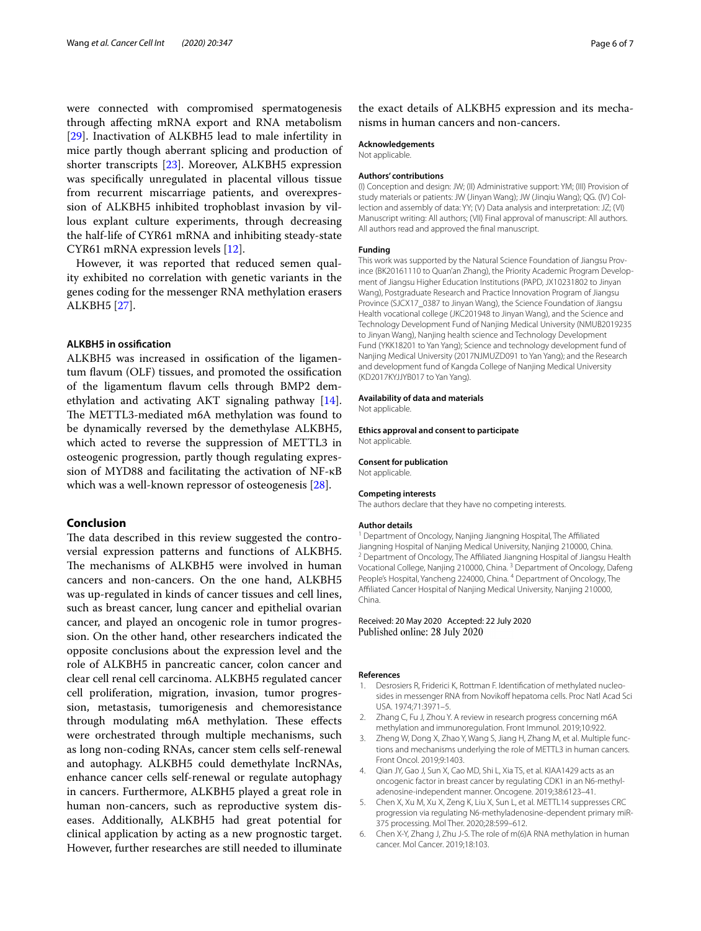were connected with compromised spermatogenesis through afecting mRNA export and RNA metabolism [[29\]](#page-6-22). Inactivation of ALKBH5 lead to male infertility in mice partly though aberrant splicing and production of shorter transcripts [\[23\]](#page-6-16). Moreover, ALKBH5 expression was specifcally unregulated in placental villous tissue from recurrent miscarriage patients, and overexpression of ALKBH5 inhibited trophoblast invasion by villous explant culture experiments, through decreasing the half-life of CYR61 mRNA and inhibiting steady-state CYR61 mRNA expression levels [\[12\]](#page-6-5).

However, it was reported that reduced semen quality exhibited no correlation with genetic variants in the genes coding for the messenger RNA methylation erasers ALKBH5 [[27\]](#page-6-20).

#### **ALKBH5 in ossifcation**

ALKBH5 was increased in ossifcation of the ligamentum favum (OLF) tissues, and promoted the ossifcation of the ligamentum favum cells through BMP2 demethylation and activating AKT signaling pathway [\[14](#page-6-7)]. The METTL3-mediated m6A methylation was found to be dynamically reversed by the demethylase ALKBH5, which acted to reverse the suppression of METTL3 in osteogenic progression, partly though regulating expression of MYD88 and facilitating the activation of NF-κB which was a well-known repressor of osteogenesis [\[28](#page-6-21)].

# **Conclusion**

The data described in this review suggested the controversial expression patterns and functions of ALKBH5. The mechanisms of ALKBH5 were involved in human cancers and non-cancers. On the one hand, ALKBH5 was up-regulated in kinds of cancer tissues and cell lines, such as breast cancer, lung cancer and epithelial ovarian cancer, and played an oncogenic role in tumor progression. On the other hand, other researchers indicated the opposite conclusions about the expression level and the role of ALKBH5 in pancreatic cancer, colon cancer and clear cell renal cell carcinoma. ALKBH5 regulated cancer cell proliferation, migration, invasion, tumor progression, metastasis, tumorigenesis and chemoresistance through modulating m6A methylation. These effects were orchestrated through multiple mechanisms, such as long non-coding RNAs, cancer stem cells self-renewal and autophagy. ALKBH5 could demethylate lncRNAs, enhance cancer cells self-renewal or regulate autophagy in cancers. Furthermore, ALKBH5 played a great role in human non-cancers, such as reproductive system diseases. Additionally, ALKBH5 had great potential for clinical application by acting as a new prognostic target. However, further researches are still needed to illuminate

the exact details of ALKBH5 expression and its mechanisms in human cancers and non-cancers.

#### **Acknowledgements**

Not applicable.

#### **Authors' contributions**

(I) Conception and design: JW; (II) Administrative support: YM; (III) Provision of study materials or patients: JW (Jinyan Wang); JW (Jinqiu Wang); QG. (IV) Collection and assembly of data: YY; (V) Data analysis and interpretation: JZ; (VI) Manuscript writing: All authors; (VII) Final approval of manuscript: All authors. All authors read and approved the fnal manuscript.

#### **Funding**

This work was supported by the Natural Science Foundation of Jiangsu Province (BK20161110 to Quan'an Zhang), the Priority Academic Program Development of Jiangsu Higher Education Institutions (PAPD, JX10231802 to Jinyan Wang), Postgraduate Research and Practice Innovation Program of Jiangsu Province (SJCX17\_0387 to Jinyan Wang), the Science Foundation of Jiangsu Health vocational college (JKC201948 to Jinyan Wang), and the Science and Technology Development Fund of Nanjing Medical University (NMUB2019235 to Jinyan Wang), Nanjing health science and Technology Development Fund (YKK18201 to Yan Yang); Science and technology development fund of Nanjing Medical University (2017NJMUZD091 to Yan Yang); and the Research and development fund of Kangda College of Nanjing Medical University (KD2017KYJJYB017 to Yan Yang).

#### **Availability of data and materials**

Not applicable.

**Ethics approval and consent to participate** Not applicable.

#### **Consent for publication**

Not applicable.

#### **Competing interests**

The authors declare that they have no competing interests.

#### **Author details**

<sup>1</sup> Department of Oncology, Nanjing Jiangning Hospital, The Affiliated Jiangning Hospital of Nanjing Medical University, Nanjing 210000, China.<br><sup>2</sup> Department of Oncology, The Affiliated Jiangning Hospital of Jiangsu Health Vocational College, Nanjing 210000, China. <sup>3</sup> Department of Oncology, Dafeng People's Hospital, Yancheng 224000, China. <sup>4</sup> Department of Oncology, The Afliated Cancer Hospital of Nanjing Medical University, Nanjing 210000, China.

## Received: 20 May 2020 Accepted: 22 July 2020 Published online: 28 July 2020

#### **References**

- <span id="page-5-0"></span>1. Desrosiers R, Friderici K, Rottman F. Identifcation of methylated nucleosides in messenger RNA from Novikoff hepatoma cells. Proc Natl Acad Sci USA. 1974;71:3971–5.
- <span id="page-5-1"></span>2. Zhang C, Fu J, Zhou Y. A review in research progress concerning m6A methylation and immunoregulation. Front Immunol. 2019;10:922.
- <span id="page-5-2"></span>Zheng W, Dong X, Zhao Y, Wang S, Jiang H, Zhang M, et al. Multiple functions and mechanisms underlying the role of METTL3 in human cancers. Front Oncol. 2019;9:1403.
- <span id="page-5-3"></span>4. Qian JY, Gao J, Sun X, Cao MD, Shi L, Xia TS, et al. KIAA1429 acts as an oncogenic factor in breast cancer by regulating CDK1 in an N6-methyladenosine-independent manner. Oncogene. 2019;38:6123–41.
- <span id="page-5-4"></span>5. Chen X, Xu M, Xu X, Zeng K, Liu X, Sun L, et al. METTL14 suppresses CRC progression via regulating N6-methyladenosine-dependent primary miR-375 processing. Mol Ther. 2020;28:599–612.
- <span id="page-5-5"></span>6. Chen X-Y, Zhang J, Zhu J-S. The role of m(6)A RNA methylation in human cancer. Mol Cancer. 2019;18:103.